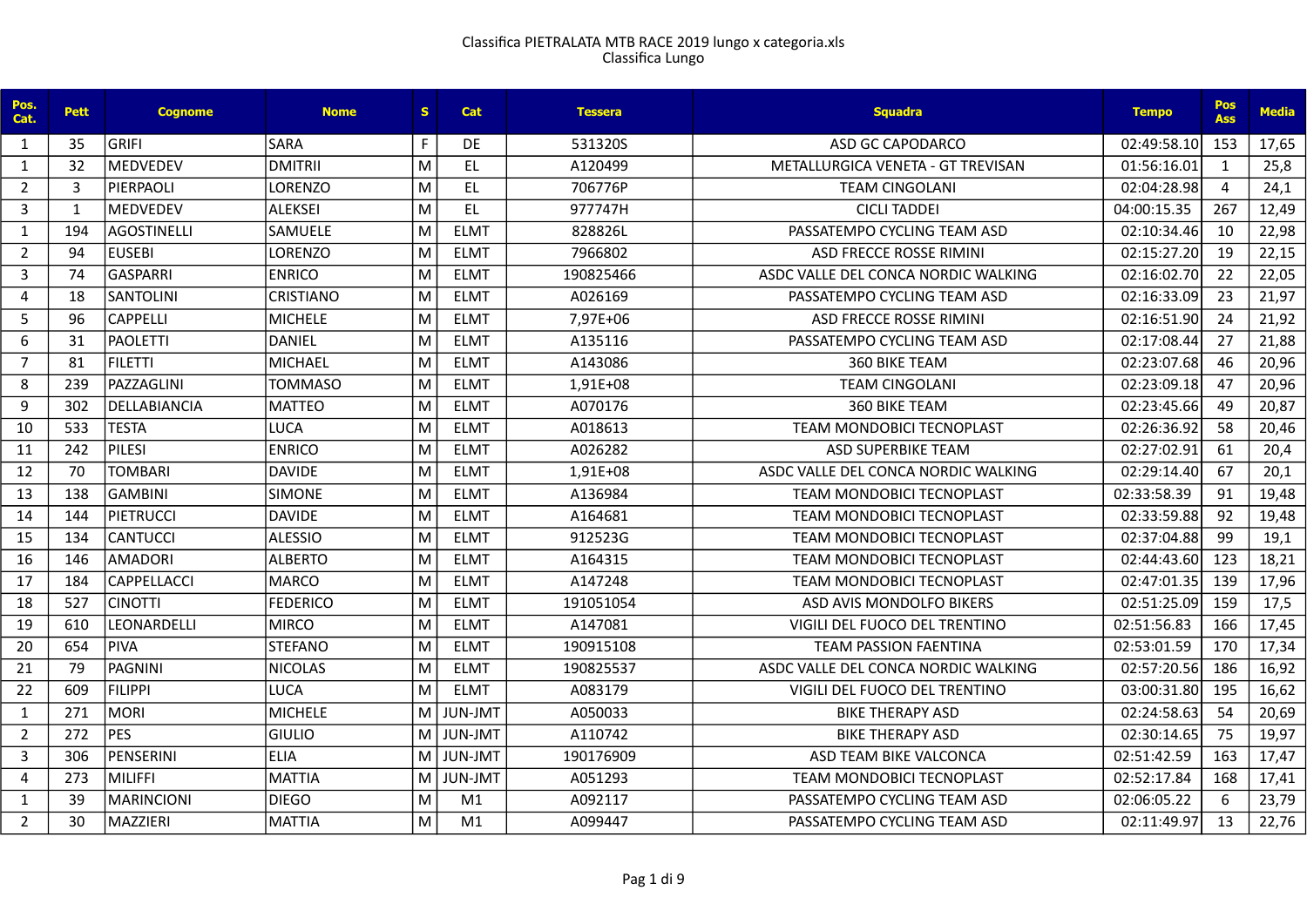| Pos.<br>Cat.   | <b>Pett</b> | <b>Cognome</b>           | <b>Nome</b>     | S. | <b>Cat</b>     | <b>Tessera</b> | <b>Squadra</b>                      | <b>Tempo</b> | Pos<br><b>Ass</b> | <b>Media</b> |
|----------------|-------------|--------------------------|-----------------|----|----------------|----------------|-------------------------------------|--------------|-------------------|--------------|
| 1              | 35          | <b>GRIFI</b>             | <b>SARA</b>     | F. | DE.            | 531320S        | <b>ASD GC CAPODARCO</b>             | 02:49:58.10  | 153               | 17,65        |
| 1              | 32          | <b>MEDVEDEV</b>          | DMITRII         | M  | <b>EL</b>      | A120499        | METALLURGICA VENETA - GT TREVISAN   | 01:56:16.01  | $\mathbf{1}$      | 25,8         |
| $\overline{2}$ | 3           | PIERPAOLI                | <b>LORENZO</b>  | M  | EL.            | 706776P        | <b>TEAM CINGOLANI</b>               | 02:04:28.98  | $\overline{4}$    | 24,1         |
| 3              | 1           | <b>MEDVEDEV</b>          | ALEKSEI         | M  | EL.            | 977747H        | <b>CICLI TADDEI</b>                 | 04:00:15.35  | 267               | 12,49        |
| 1              | 194         | lagostinelli             | <b>SAMUELE</b>  | M  | <b>ELMT</b>    | 828826L        | PASSATEMPO CYCLING TEAM ASD         | 02:10:34.46  | 10                | 22,98        |
| $\overline{2}$ | 94          | <b>EUSEBI</b>            | <b>LORENZO</b>  | M  | <b>ELMT</b>    | 7966802        | ASD FRECCE ROSSE RIMINI             | 02:15:27.20  | 19                | 22,15        |
| $\overline{3}$ | 74          | lGASPARRI                | <b>ENRICO</b>   | M  | <b>ELMT</b>    | 190825466      | ASDC VALLE DEL CONCA NORDIC WALKING | 02:16:02.70  | 22                | 22,05        |
| $\overline{4}$ | 18          | <b>SANTOLINI</b>         | CRISTIANO       | M  | <b>ELMT</b>    | A026169        | PASSATEMPO CYCLING TEAM ASD         | 02:16:33.09  | 23                | 21,97        |
| 5              | 96          | <b>CAPPELLI</b>          | MICHELE         | M  | <b>ELMT</b>    | 7,97E+06       | <b>ASD FRECCE ROSSE RIMINI</b>      | 02:16:51.90  | 24                | 21,92        |
| 6              | 31          | PAOLETTI                 | DANIEL          | M  | <b>ELMT</b>    | A135116        | PASSATEMPO CYCLING TEAM ASD         | 02:17:08.44  | 27                | 21,88        |
| $\overline{7}$ | 81          | FILETTI                  | MICHAEL         | M  | <b>ELMT</b>    | A143086        | <b>360 BIKE TEAM</b>                | 02:23:07.68  | 46                | 20,96        |
| 8              | 239         | <i><b>PAZZAGLINI</b></i> | <b>TOMMASO</b>  | M  | <b>ELMT</b>    | 1,91E+08       | <b>TEAM CINGOLANI</b>               | 02:23:09.18  | 47                | 20,96        |
| 9              | 302         | DELLABIANCIA             | <b>MATTEO</b>   | M  | <b>ELMT</b>    | A070176        | 360 BIKE TEAM                       | 02:23:45.66  | 49                | 20,87        |
| 10             | 533         | <b>TESTA</b>             | LUCA            | M  | <b>ELMT</b>    | A018613        | <b>TEAM MONDOBICI TECNOPLAST</b>    | 02:26:36.92  | 58                | 20,46        |
| 11             | 242         | PILESI                   | <b>ENRICO</b>   | M  | <b>ELMT</b>    | A026282        | <b>ASD SUPERBIKE TEAM</b>           | 02:27:02.91  | 61                | 20,4         |
| 12             | 70          | <b>TOMBARI</b>           | <b>DAVIDE</b>   | M  | <b>ELMT</b>    | 1,91E+08       | ASDC VALLE DEL CONCA NORDIC WALKING | 02:29:14.40  | 67                | 20,1         |
| 13             | 138         | <b>GAMBINI</b>           | <b>SIMONE</b>   | M  | <b>ELMT</b>    | A136984        | <b>TEAM MONDOBICI TECNOPLAST</b>    | 02:33:58.39  | 91                | 19,48        |
| 14             | 144         | PIETRUCCI                | DAVIDE          | M  | <b>ELMT</b>    | A164681        | TEAM MONDOBICI TECNOPLAST           | 02:33:59.88  | 92                | 19,48        |
| 15             | 134         | <b>CANTUCCI</b>          | <b>ALESSIO</b>  | M  | <b>ELMT</b>    | 912523G        | TEAM MONDOBICI TECNOPLAST           | 02:37:04.88  | 99                | 19,1         |
| 16             | 146         | <b>AMADORI</b>           | <b>ALBERTO</b>  | M  | <b>ELMT</b>    | A164315        | <b>TEAM MONDOBICI TECNOPLAST</b>    | 02:44:43.60  | 123               | 18,21        |
| 17             | 184         | <b>CAPPELLACCI</b>       | MARCO           | M  | <b>ELMT</b>    | A147248        | <b>TEAM MONDOBICI TECNOPLAST</b>    | 02:47:01.35  | 139               | 17,96        |
| 18             | 527         | ICINOTTI                 | <b>FEDERICO</b> | M  | <b>ELMT</b>    | 191051054      | ASD AVIS MONDOLFO BIKERS            | 02:51:25.09  | 159               | 17,5         |
| 19             | 610         | LEONARDELLI              | MIRCO           | M  | <b>ELMT</b>    | A147081        | VIGILI DEL FUOCO DEL TRENTINO       | 02:51:56.83  | 166               | 17,45        |
| 20             | 654         | <b>PIVA</b>              | <b>STEFANO</b>  | M  | <b>ELMT</b>    | 190915108      | <b>TEAM PASSION FAENTINA</b>        | 02:53:01.59  | 170               | 17,34        |
| 21             | 79          | <b>PAGNINI</b>           | NICOLAS         | M  | <b>ELMT</b>    | 190825537      | ASDC VALLE DEL CONCA NORDIC WALKING | 02:57:20.56  | 186               | 16,92        |
| 22             | 609         | <b>FILIPPI</b>           | <b>LUCA</b>     | M  | <b>ELMT</b>    | A083179        | VIGILI DEL FUOCO DEL TRENTINO       | 03:00:31.80  | 195               | 16,62        |
| $\mathbf{1}$   | 271         | MORI                     | <b>MICHELE</b>  | M  | <b>JUN-JMT</b> | A050033        | <b>BIKE THERAPY ASD</b>             | 02:24:58.63  | 54                | 20,69        |
| $\overline{2}$ | 272         | <b>PES</b>               | <b>GIULIO</b>   | м  | <b>JUN-JMT</b> | A110742        | <b>BIKE THERAPY ASD</b>             | 02:30:14.65  | 75                | 19,97        |
| 3              | 306         | PENSERINI                | ELIA            | м  | <b>JUN-JMT</b> | 190176909      | ASD TEAM BIKE VALCONCA              | 02:51:42.59  | 163               | 17,47        |
| 4              | 273         | MILIFFI                  | MATTIA          | M  | <b>JUN-JMT</b> | A051293        | <b>TEAM MONDOBICI TECNOPLAST</b>    | 02:52:17.84  | 168               | 17,41        |
| $\mathbf{1}$   | 39          | <b>MARINCIONI</b>        | <b>DIEGO</b>    | M  | M1             | A092117        | PASSATEMPO CYCLING TEAM ASD         | 02:06:05.22  | 6                 | 23,79        |
| $\overline{2}$ | 30          | MAZZIERI                 | <b>IMATTIA</b>  | M  | M1             | A099447        | PASSATEMPO CYCLING TEAM ASD         | 02:11:49.97  | 13                | 22,76        |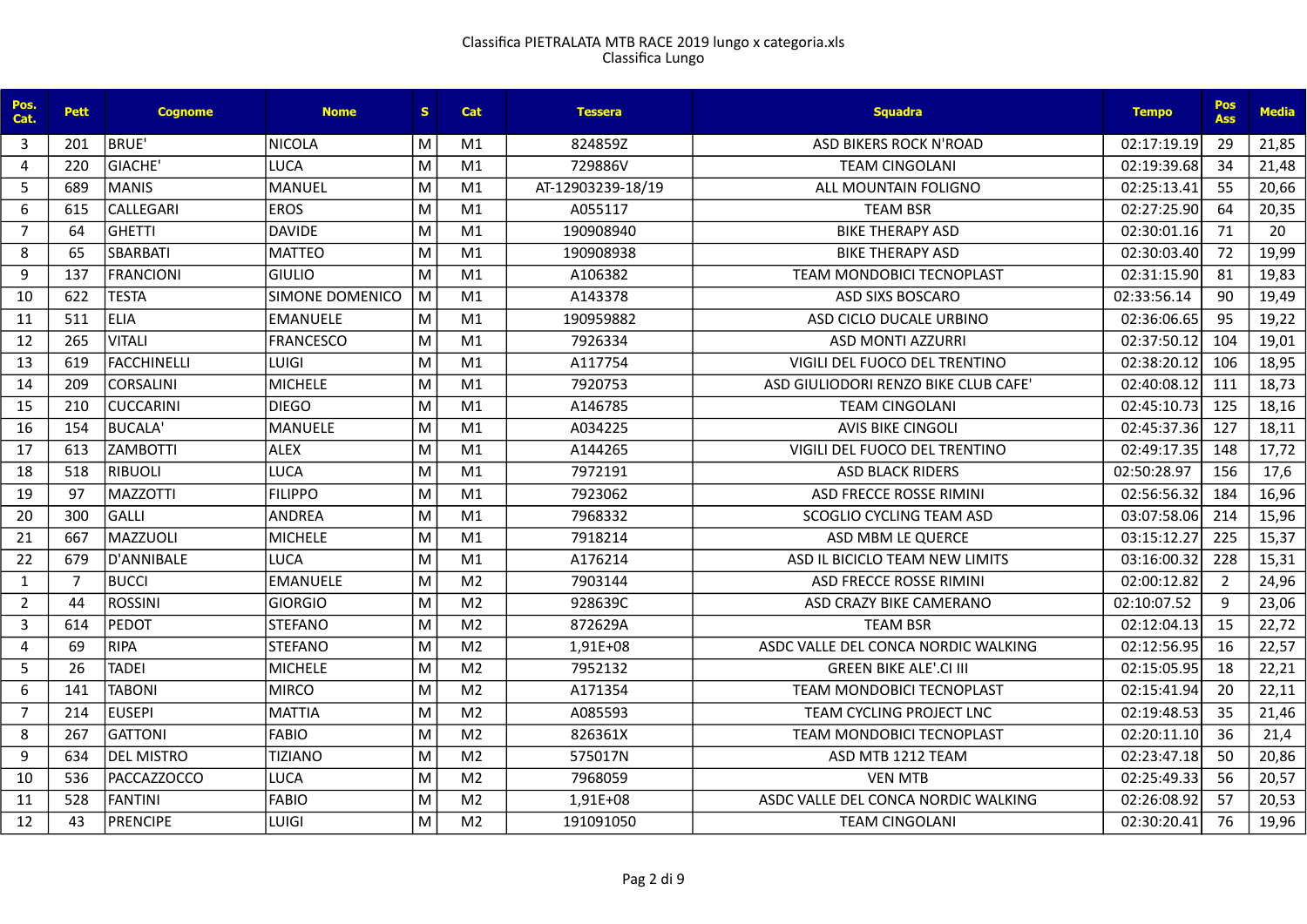| Pos.<br>Cat.   | <b>Pett</b>    | <b>Cognome</b>     | <b>Nome</b>            | S. | <b>Cat</b>     | <b>Tessera</b>    | <b>Sauadra</b>                       | <b>Tempo</b> | Pos<br><b>Ass</b> | <b>Media</b> |
|----------------|----------------|--------------------|------------------------|----|----------------|-------------------|--------------------------------------|--------------|-------------------|--------------|
| 3              | 201            | BRUE'              | NICOLA                 | M  | M1             | 824859Z           | ASD BIKERS ROCK N'ROAD               | 02:17:19.19  | 29                | 21,85        |
| 4              | 220            | GIACHE'            | <b>LUCA</b>            | M  | M1             | 729886V           | <b>TEAM CINGOLANI</b>                | 02:19:39.68  | 34                | 21,48        |
| 5              | 689            | MANIS              | MANUEL                 | M  | M1             | AT-12903239-18/19 | ALL MOUNTAIN FOLIGNO                 | 02:25:13.41  | 55                | 20,66        |
| 6              | 615            | <b>CALLEGARI</b>   | <b>EROS</b>            | M  | M1             | A055117           | <b>TEAM BSR</b>                      | 02:27:25.90  | 64                | 20,35        |
| $\overline{7}$ | 64             | <b>GHETTI</b>      | <b>DAVIDE</b>          | M  | M1             | 190908940         | <b>BIKE THERAPY ASD</b>              | 02:30:01.16  | 71                | 20           |
| 8              | 65             | <b>SBARBATI</b>    | <b>MATTEO</b>          | M  | M1             | 190908938         | <b>BIKE THERAPY ASD</b>              | 02:30:03.40  | 72                | 19,99        |
| 9              | 137            | FRANCIONI          | <b>GIULIO</b>          | M  | M1             | A106382           | <b>TEAM MONDOBICI TECNOPLAST</b>     | 02:31:15.90  | 81                | 19,83        |
| 10             | 622            | <b>TESTA</b>       | <b>SIMONE DOMENICO</b> | M  | M1             | A143378           | <b>ASD SIXS BOSCARO</b>              | 02:33:56.14  | 90                | 19,49        |
| 11             | 511            | <b>LELIA</b>       | EMANUELE               | M  | M1             | 190959882         | ASD CICLO DUCALE URBINO              | 02:36:06.65  | 95                | 19,22        |
| 12             | 265            | VITALI             | <b>FRANCESCO</b>       | M  | M1             | 7926334           | <b>ASD MONTI AZZURRI</b>             | 02:37:50.12  | 104               | 19,01        |
| 13             | 619            | <b>FACCHINELLI</b> | <b>LUIGI</b>           | M  | M1             | A117754           | VIGILI DEL FUOCO DEL TRENTINO        | 02:38:20.12  | 106               | 18,95        |
| 14             | 209            | <b>CORSALINI</b>   | MICHELE                | M  | M1             | 7920753           | ASD GIULIODORI RENZO BIKE CLUB CAFE' | 02:40:08.12  | 111               | 18,73        |
| 15             | 210            | <b>CUCCARINI</b>   | <b>DIEGO</b>           | M  | M1             | A146785           | <b>TEAM CINGOLANI</b>                | 02:45:10.73  | 125               | 18,16        |
| 16             | 154            | <b>BUCALA'</b>     | MANUELE                | M  | M1             | A034225           | <b>AVIS BIKE CINGOLI</b>             | 02:45:37.36  | 127               | 18,11        |
| 17             | 613            | <b>ZAMBOTTI</b>    | ALEX                   | M  | M1             | A144265           | VIGILI DEL FUOCO DEL TRENTINO        | 02:49:17.35  | 148               | 17,72        |
| 18             | 518            | RIBUOLI            | <b>LUCA</b>            | M  | M1             | 7972191           | <b>ASD BLACK RIDERS</b>              | 02:50:28.97  | 156               | 17,6         |
| 19             | 97             | IMAZZOTTI          | <b>FILIPPO</b>         | M  | M1             | 7923062           | ASD FRECCE ROSSE RIMINI              | 02:56:56.32  | 184               | 16,96        |
| 20             | 300            | lgallı             | ANDREA                 | M  | M1             | 7968332           | <b>SCOGLIO CYCLING TEAM ASD</b>      | 03:07:58.06  | 214               | 15,96        |
| 21             | 667            | MAZZUOLI           | MICHELE                | M  | M1             | 7918214           | ASD MBM LE QUERCE                    | 03:15:12.27  | 225               | 15,37        |
| 22             | 679            | D'ANNIBALE         | <b>LUCA</b>            | M  | M1             | A176214           | ASD IL BICICLO TEAM NEW LIMITS       | 03:16:00.32  | 228               | 15,31        |
| $\mathbf{1}$   | $\overline{7}$ | <b>BUCCI</b>       | <b>EMANUELE</b>        | M  | M <sub>2</sub> | 7903144           | ASD FRECCE ROSSE RIMINI              | 02:00:12.82  | $\overline{2}$    | 24,96        |
| $\overline{2}$ | 44             | <b>ROSSINI</b>     | GIORGIO                | M  | M <sub>2</sub> | 928639C           | ASD CRAZY BIKE CAMERANO              | 02:10:07.52  | 9                 | 23,06        |
| 3              | 614            | IPEDOT             | <b>STEFANO</b>         | M  | M <sub>2</sub> | 872629A           | <b>TEAM BSR</b>                      | 02:12:04.13  | 15                | 22,72        |
| 4              | 69             | RIPA               | <b>STEFANO</b>         | M  | M <sub>2</sub> | 1,91E+08          | ASDC VALLE DEL CONCA NORDIC WALKING  | 02:12:56.95  | 16                | 22,57        |
| 5              | 26             | <b>TADEI</b>       | MICHELE                | M  | M <sub>2</sub> | 7952132           | <b>GREEN BIKE ALE'.CI III</b>        | 02:15:05.95  | 18                | 22,21        |
| 6              | 141            | <b>TABONI</b>      | <b>MIRCO</b>           | M  | M <sub>2</sub> | A171354           | <b>TEAM MONDOBICI TECNOPLAST</b>     | 02:15:41.94  | 20                | 22,11        |
| $\overline{7}$ | 214            | <b>EUSEPI</b>      | MATTIA                 | M  | M <sub>2</sub> | A085593           | TEAM CYCLING PROJECT LNC             | 02:19:48.53  | 35                | 21,46        |
| 8              | 267            | <b>GATTONI</b>     | FABIO                  | M  | M <sub>2</sub> | 826361X           | TEAM MONDOBICI TECNOPLAST            | 02:20:11.10  | 36                | 21,4         |
| 9              | 634            | <b>DEL MISTRO</b>  | <b>TIZIANO</b>         | M  | M <sub>2</sub> | 575017N           | ASD MTB 1212 TEAM                    | 02:23:47.18  | 50                | 20,86        |
| 10             | 536            | PACCAZZOCCO        | <b>LUCA</b>            | M  | M <sub>2</sub> | 7968059           | <b>VEN MTB</b>                       | 02:25:49.33  | 56                | 20,57        |
| 11             | 528            | <b>FANTINI</b>     | <b>FABIO</b>           | M  | M <sub>2</sub> | 1,91E+08          | ASDC VALLE DEL CONCA NORDIC WALKING  | 02:26:08.92  | 57                | 20,53        |
| 12             | 43             | PRENCIPE           | <b>LUIGI</b>           | M  | M <sub>2</sub> | 191091050         | <b>TEAM CINGOLANI</b>                | 02:30:20.41  | 76                | 19,96        |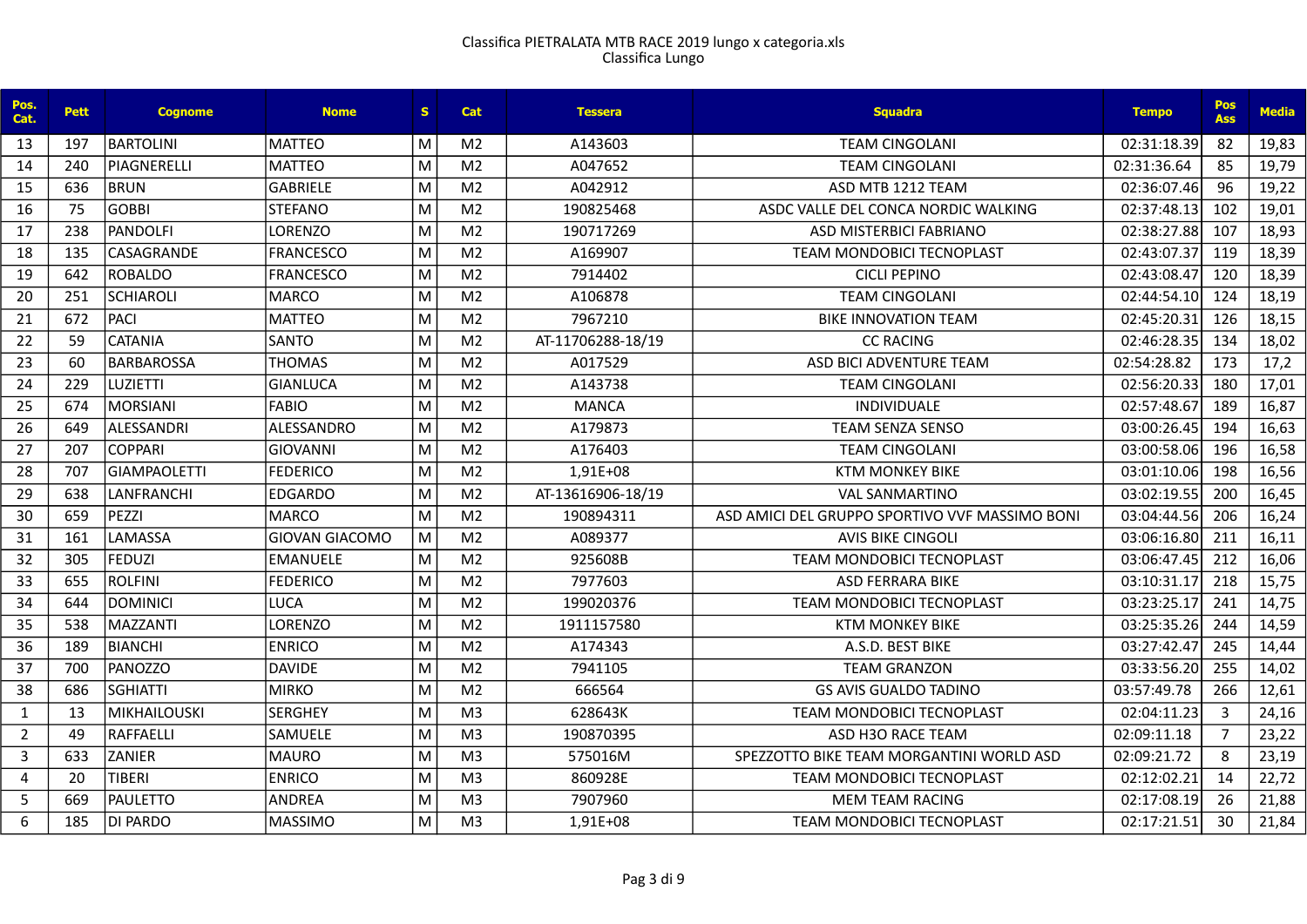| Pos.<br>Cat.   | <b>Pett</b> | <b>Cognome</b>      | <b>Nome</b>      | S. | <b>Cat</b>     | <b>Tessera</b>    | <b>Squadra</b>                                 | <b>Tempo</b> | Pos<br><b>Ass</b> | <b>Media</b> |
|----------------|-------------|---------------------|------------------|----|----------------|-------------------|------------------------------------------------|--------------|-------------------|--------------|
| 13             | 197         | BARTOLINI           | IMATTEO          | м  | M <sub>2</sub> | A143603           | <b>TEAM CINGOLANI</b>                          | 02:31:18.39  | 82                | 19,83        |
| 14             | 240         | IPIAGNERELLI        | <b>IMATTEO</b>   | M  | M <sub>2</sub> | A047652           | <b>TEAM CINGOLANI</b>                          | 02:31:36.64  | 85                | 19,79        |
| 15             | 636         | BRUN                | GABRIELE         | M  | M <sub>2</sub> | A042912           | ASD MTB 1212 TEAM                              | 02:36:07.46  | 96                | 19,22        |
| 16             | 75          | <b>GOBBI</b>        | <b>STEFANO</b>   | M  | M <sub>2</sub> | 190825468         | ASDC VALLE DEL CONCA NORDIC WALKING            | 02:37:48.13  | 102               | 19,01        |
| 17             | 238         | PANDOLFI            | LORENZO          | M  | M <sub>2</sub> | 190717269         | ASD MISTERBICI FABRIANO                        | 02:38:27.88  | 107               | 18,93        |
| 18             | 135         | CASAGRANDE          | <b>FRANCESCO</b> | M  | M <sub>2</sub> | A169907           | TEAM MONDOBICI TECNOPLAST                      | 02:43:07.37  | 119               | 18,39        |
| 19             | 642         | ROBALDO             | FRANCESCO        | M  | M <sub>2</sub> | 7914402           | <b>CICLI PEPINO</b>                            | 02:43:08.47  | 120               | 18,39        |
| 20             | 251         | <b>SCHIAROLI</b>    | MARCO            | M  | M <sub>2</sub> | A106878           | <b>TEAM CINGOLANI</b>                          | 02:44:54.10  | 124               | 18,19        |
| 21             | 672         | PACI                | <b>MATTEO</b>    | M  | M <sub>2</sub> | 7967210           | <b>BIKE INNOVATION TEAM</b>                    | 02:45:20.31  | 126               | 18,15        |
| 22             | 59          | <b>CATANIA</b>      | SANTO            | M  | M <sub>2</sub> | AT-11706288-18/19 | <b>CC RACING</b>                               | 02:46:28.35  | 134               | 18,02        |
| 23             | 60          | BARBAROSSA          | <b>THOMAS</b>    | M  | M <sub>2</sub> | A017529           | ASD BICI ADVENTURE TEAM                        | 02:54:28.82  | 173               | 17,2         |
| 24             | 229         | ILUZIETTI           | İGIANLUCA        | M  | M <sub>2</sub> | A143738           | <b>TEAM CINGOLANI</b>                          | 02:56:20.33  | 180               | 17,01        |
| 25             | 674         | MORSIANI            | <b>FABIO</b>     | M  | M <sub>2</sub> | <b>MANCA</b>      | INDIVIDUALE                                    | 02:57:48.67  | 189               | 16,87        |
| 26             | 649         | ALESSANDRI          | ALESSANDRO       | M  | M <sub>2</sub> | A179873           | <b>TEAM SENZA SENSO</b>                        | 03:00:26.45  | 194               | 16,63        |
| 27             | 207         | COPPARI             | GIOVANNI         | M  | M <sub>2</sub> | A176403           | <b>TEAM CINGOLANI</b>                          | 03:00:58.06  | 196               | 16,58        |
| 28             | 707         | <b>GIAMPAOLETTI</b> | <b>FEDERICO</b>  | M  | M <sub>2</sub> | 1,91E+08          | <b>KTM MONKEY BIKE</b>                         | 03:01:10.06  | 198               | 16,56        |
| 29             | 638         | LANFRANCHI          | <b>EDGARDO</b>   | M  | M <sub>2</sub> | AT-13616906-18/19 | <b>VAL SANMARTINO</b>                          | 03:02:19.55  | 200               | 16,45        |
| 30             | 659         | PEZZI               | MARCO            | M  | M <sub>2</sub> | 190894311         | ASD AMICI DEL GRUPPO SPORTIVO VVF MASSIMO BONI | 03:04:44.56  | 206               | 16,24        |
| 31             | 161         | <b>LAMASSA</b>      | GIOVAN GIACOMO   | M  | M <sub>2</sub> | A089377           | <b>AVIS BIKE CINGOLI</b>                       | 03:06:16.80  | 211               | 16,11        |
| 32             | 305         | FEDUZI              | lemanuele        | M  | M <sub>2</sub> | 925608B           | <b>TEAM MONDOBICI TECNOPLAST</b>               | 03:06:47.45  | 212               | 16,06        |
| 33             | 655         | ROLFINI             | <b>FEDERICO</b>  | M  | M <sub>2</sub> | 7977603           | <b>ASD FERRARA BIKE</b>                        | 03:10:31.17  | 218               | 15,75        |
| 34             | 644         | <b>DOMINICI</b>     | LUCA             | M  | M <sub>2</sub> | 199020376         | <b>TEAM MONDOBICI TECNOPLAST</b>               | 03:23:25.17  | 241               | 14,75        |
| 35             | 538         | MAZZANTI            | LORENZO          | M  | M <sub>2</sub> | 1911157580        | <b>KTM MONKEY BIKE</b>                         | 03:25:35.26  | 244               | 14,59        |
| 36             | 189         | BIANCHI             | <b>ENRICO</b>    | M  | M <sub>2</sub> | A174343           | A.S.D. BEST BIKE                               | 03:27:42.47  | 245               | 14,44        |
| 37             | 700         | <b>PANOZZO</b>      | DAVIDE           | M  | M <sub>2</sub> | 7941105           | <b>TEAM GRANZON</b>                            | 03:33:56.20  | 255               | 14,02        |
| 38             | 686         | <b>SGHIATTI</b>     | <b>MIRKO</b>     | M  | M <sub>2</sub> | 666564            | <b>GS AVIS GUALDO TADINO</b>                   | 03:57:49.78  | 266               | 12,61        |
| $\mathbf{1}$   | 13          | <b>MIKHAILOUSKI</b> | <b>SERGHEY</b>   | M  | M <sub>3</sub> | 628643K           | <b>TEAM MONDOBICI TECNOPLAST</b>               | 02:04:11.23  | 3                 | 24,16        |
| $\overline{2}$ | 49          | RAFFAELLI           | <b>SAMUELE</b>   | M  | M <sub>3</sub> | 190870395         | ASD H3O RACE TEAM                              | 02:09:11.18  | $\overline{7}$    | 23,22        |
| 3              | 633         | <b>ZANIER</b>       | MAURO            | M  | M <sub>3</sub> | 575016M           | SPEZZOTTO BIKE TEAM MORGANTINI WORLD ASD       | 02:09:21.72  | 8                 | 23,19        |
| 4              | 20          | <b>TIBERI</b>       | <b>ENRICO</b>    | M  | M <sub>3</sub> | 860928E           | TEAM MONDOBICI TECNOPLAST                      | 02:12:02.21  | 14                | 22,72        |
| 5              | 669         | PAULETTO            | ANDREA           | M  | M <sub>3</sub> | 7907960           | <b>MEM TEAM RACING</b>                         | 02:17:08.19  | 26                | 21,88        |
| 6              | 185         | DI PARDO            | <b>MASSIMO</b>   | M  | M <sub>3</sub> | 1,91E+08          | <b>TEAM MONDOBICI TECNOPLAST</b>               | 02:17:21.51  | 30                | 21,84        |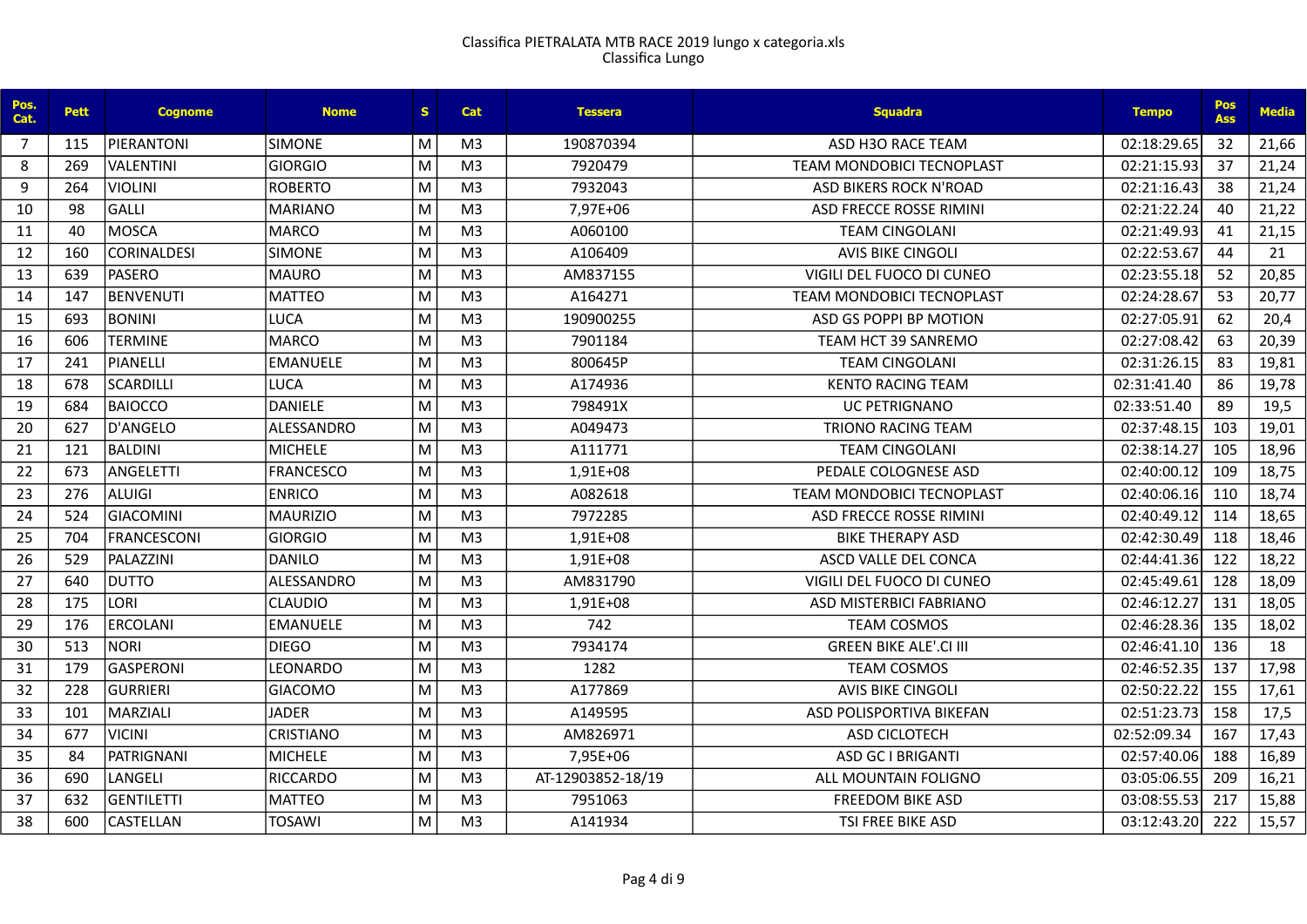| Pos.<br>Cat. | <b>Pett</b> | <b>Cognome</b>     | <b>Nome</b>       | S. | Cat            | <b>Tessera</b>    | <b>Squadra</b>                   | <b>Tempo</b> | <b>Pos</b><br><b>Ass</b> | <b>Media</b> |
|--------------|-------------|--------------------|-------------------|----|----------------|-------------------|----------------------------------|--------------|--------------------------|--------------|
| 7            | 115         | PIERANTONI         | <b>SIMONE</b>     | M  | M <sub>3</sub> | 190870394         | ASD H3O RACE TEAM                | 02:18:29.65  | 32                       | 21,66        |
| 8            | 269         | <b>VALENTINI</b>   | <b>GIORGIO</b>    | M  | M <sub>3</sub> | 7920479           | <b>TEAM MONDOBICI TECNOPLAST</b> | 02:21:15.93  | 37                       | 21,24        |
| 9            | 264         | <b>VIOLINI</b>     | <b>ROBERTO</b>    | M  | M <sub>3</sub> | 7932043           | <b>ASD BIKERS ROCK N'ROAD</b>    | 02:21:16.43  | 38                       | 21,24        |
| 10           | 98          | <b>GALLI</b>       | <b>MARIANO</b>    | M  | M <sub>3</sub> | 7,97E+06          | ASD FRECCE ROSSE RIMINI          | 02:21:22.24  | 40                       | 21,22        |
| 11           | 40          | <b>MOSCA</b>       | <b>MARCO</b>      | M  | M <sub>3</sub> | A060100           | <b>TEAM CINGOLANI</b>            | 02:21:49.93  | 41                       | 21,15        |
| 12           | 160         | <b>CORINALDESI</b> | <b>SIMONE</b>     | M  | M <sub>3</sub> | A106409           | <b>AVIS BIKE CINGOLI</b>         | 02:22:53.67  | 44                       | 21           |
| 13           | 639         | <b>PASERO</b>      | <b>MAURO</b>      | M  | M <sub>3</sub> | AM837155          | VIGILI DEL FUOCO DI CUNEO        | 02:23:55.18  | 52                       | 20,85        |
| 14           | 147         | <b>BENVENUTI</b>   | <b>MATTEO</b>     | M  | M <sub>3</sub> | A164271           | <b>TEAM MONDOBICI TECNOPLAST</b> | 02:24:28.67  | 53                       | 20,77        |
| 15           | 693         | <b>BONINI</b>      | <b>LUCA</b>       | M  | M <sub>3</sub> | 190900255         | ASD GS POPPI BP MOTION           | 02:27:05.91  | 62                       | 20,4         |
| 16           | 606         | <b>TERMINE</b>     | <b>MARCO</b>      | M  | M <sub>3</sub> | 7901184           | <b>TEAM HCT 39 SANREMO</b>       | 02:27:08.42  | 63                       | 20,39        |
| 17           | 241         | PIANELLI           | <b>EMANUELE</b>   | M  | M <sub>3</sub> | 800645P           | <b>TEAM CINGOLANI</b>            | 02:31:26.15  | 83                       | 19,81        |
| 18           | 678         | <b>SCARDILLI</b>   | <b>LUCA</b>       | M  | M <sub>3</sub> | A174936           | <b>KENTO RACING TEAM</b>         | 02:31:41.40  | 86                       | 19,78        |
| 19           | 684         | <b>BAIOCCO</b>     | <b>DANIELE</b>    | M  | M <sub>3</sub> | 798491X           | <b>UC PETRIGNANO</b>             | 02:33:51.40  | 89                       | 19,5         |
| 20           | 627         | <b>D'ANGELO</b>    | <b>ALESSANDRO</b> | M  | M <sub>3</sub> | A049473           | <b>TRIONO RACING TEAM</b>        | 02:37:48.15  | 103                      | 19,01        |
| 21           | 121         | <b>BALDINI</b>     | <b>MICHELE</b>    | M  | M <sub>3</sub> | A111771           | <b>TEAM CINGOLANI</b>            | 02:38:14.27  | 105                      | 18,96        |
| 22           | 673         | <b>ANGELETTI</b>   | <b>FRANCESCO</b>  | M  | M <sub>3</sub> | 1,91E+08          | PEDALE COLOGNESE ASD             | 02:40:00.12  | 109                      | 18,75        |
| 23           | 276         | <b>ALUIGI</b>      | <b>ENRICO</b>     | M  | M <sub>3</sub> | A082618           | TEAM MONDOBICI TECNOPLAST        | 02:40:06.16  | 110                      | 18,74        |
| 24           | 524         | <b>GIACOMINI</b>   | <b>MAURIZIO</b>   | M  | M <sub>3</sub> | 7972285           | ASD FRECCE ROSSE RIMINI          | 02:40:49.12  | 114                      | 18,65        |
| 25           | 704         | <b>FRANCESCONI</b> | <b>GIORGIO</b>    | M  | M <sub>3</sub> | 1,91E+08          | <b>BIKE THERAPY ASD</b>          | 02:42:30.49  | 118                      | 18,46        |
| 26           | 529         | PALAZZINI          | <b>DANILO</b>     | M  | M <sub>3</sub> | 1,91E+08          | ASCD VALLE DEL CONCA             | 02:44:41.36  | 122                      | 18,22        |
| 27           | 640         | <b>DUTTO</b>       | ALESSANDRO        | M  | M <sub>3</sub> | AM831790          | VIGILI DEL FUOCO DI CUNEO        | 02:45:49.61  | 128                      | 18,09        |
| 28           | 175         | LORI               | <b>CLAUDIO</b>    | M  | M <sub>3</sub> | 1,91E+08          | ASD MISTERBICI FABRIANO          | 02:46:12.27  | 131                      | 18,05        |
| 29           | 176         | <b>ERCOLANI</b>    | <b>EMANUELE</b>   | M  | M <sub>3</sub> | 742               | <b>TEAM COSMOS</b>               | 02:46:28.36  | 135                      | 18,02        |
| 30           | 513         | <b>NORI</b>        | <b>DIEGO</b>      | M  | M <sub>3</sub> | 7934174           | <b>GREEN BIKE ALE'.CI III</b>    | 02:46:41.10  | 136                      | 18           |
| 31           | 179         | <b>GASPERONI</b>   | LEONARDO          | M  | M <sub>3</sub> | 1282              | <b>TEAM COSMOS</b>               | 02:46:52.35  | 137                      | 17,98        |
| 32           | 228         | <b>GURRIERI</b>    | <b>GIACOMO</b>    | M  | M <sub>3</sub> | A177869           | <b>AVIS BIKE CINGOLI</b>         | 02:50:22.22  | 155                      | 17,61        |
| 33           | 101         | MARZIALI           | <b>JADER</b>      | M  | M <sub>3</sub> | A149595           | ASD POLISPORTIVA BIKEFAN         | 02:51:23.73  | 158                      | 17,5         |
| 34           | 677         | <b>VICINI</b>      | <b>CRISTIANO</b>  | M  | M <sub>3</sub> | AM826971          | ASD CICLOTECH                    | 02:52:09.34  | 167                      | 17,43        |
| 35           | 84          | <b>PATRIGNANI</b>  | <b>MICHELE</b>    | M  | M <sub>3</sub> | 7,95E+06          | <b>ASD GC I BRIGANTI</b>         | 02:57:40.06  | 188                      | 16,89        |
| 36           | 690         | LANGELI            | <b>RICCARDO</b>   | M  | M <sub>3</sub> | AT-12903852-18/19 | ALL MOUNTAIN FOLIGNO             | 03:05:06.55  | 209                      | 16,21        |
| 37           | 632         | <b>GENTILETTI</b>  | <b>MATTEO</b>     | M  | M <sub>3</sub> | 7951063           | <b>FREEDOM BIKE ASD</b>          | 03:08:55.53  | 217                      | 15,88        |
| 38           | 600         | <b>CASTELLAN</b>   | <b>TOSAWI</b>     | M  | M <sub>3</sub> | A141934           | TSI FREE BIKE ASD                | 03:12:43.20  | 222                      | 15,57        |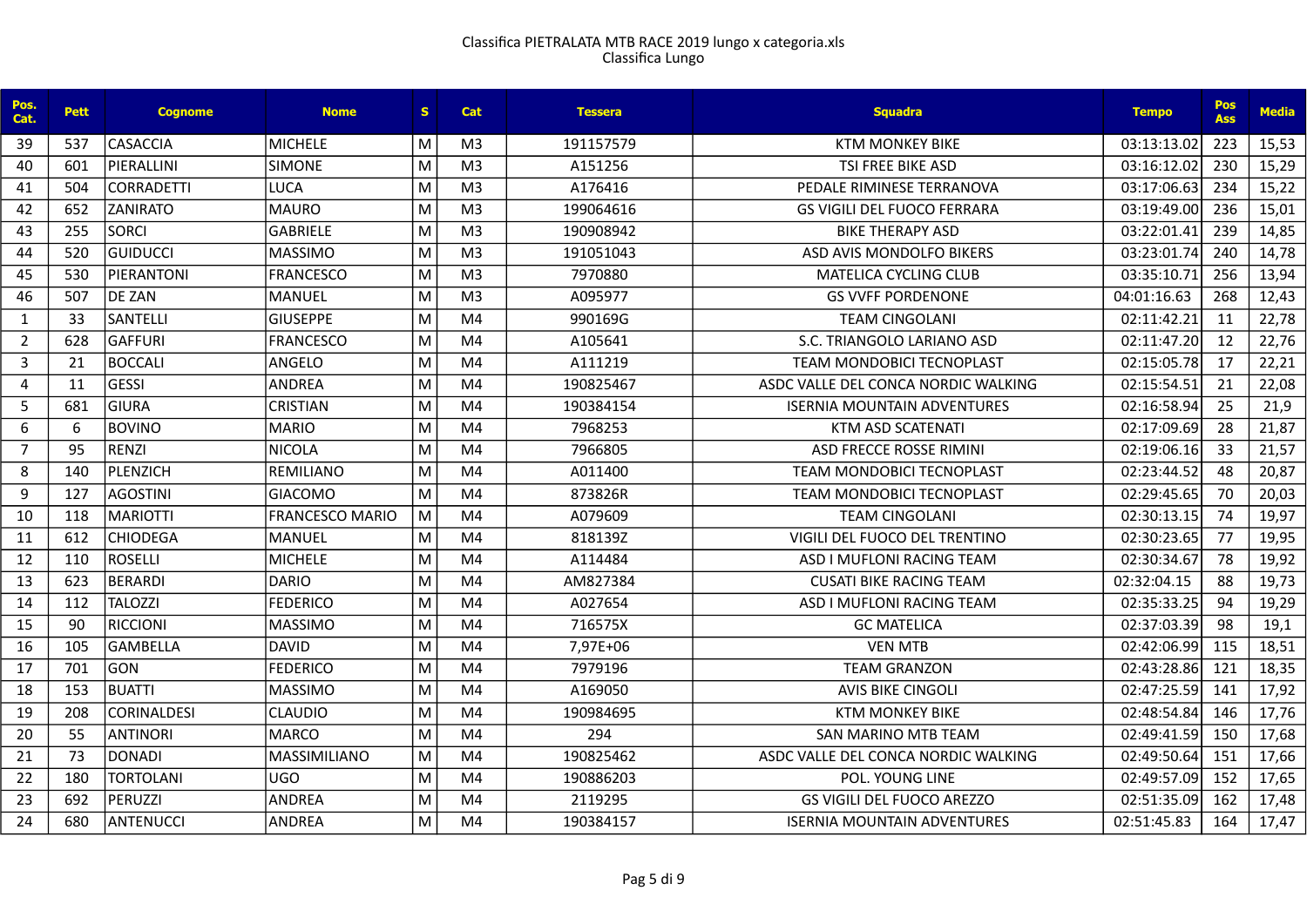| Pos.<br>Cat.   | <b>Pett</b> | <b>Cognome</b>     | <b>Nome</b>            | S. | <b>Cat</b>     | <b>Tessera</b> | <b>Sauadra</b>                      | <b>Tempo</b> | <b>Pos</b><br><b>Ass</b> | <b>Media</b> |
|----------------|-------------|--------------------|------------------------|----|----------------|----------------|-------------------------------------|--------------|--------------------------|--------------|
| 39             | 537         | <b>CASACCIA</b>    | <b>MICHELE</b>         | M  | M <sub>3</sub> | 191157579      | <b>KTM MONKEY BIKE</b>              | 03:13:13.02  | 223                      | 15,53        |
| 40             | 601         | PIERALLINI         | <b>SIMONE</b>          | M  | M <sub>3</sub> | A151256        | <b>TSI FREE BIKE ASD</b>            | 03:16:12.02  | 230                      | 15,29        |
| 41             | 504         | <b>CORRADETTI</b>  | <b>LUCA</b>            | M  | M <sub>3</sub> | A176416        | PEDALE RIMINESE TERRANOVA           | 03:17:06.63  | 234                      | 15,22        |
| 42             | 652         | <b>ZANIRATO</b>    | <b>MAURO</b>           | M  | M <sub>3</sub> | 199064616      | <b>GS VIGILI DEL FUOCO FERRARA</b>  | 03:19:49.00  | 236                      | 15,01        |
| 43             | 255         | <b>SORCI</b>       | <b>GABRIELE</b>        | M  | M <sub>3</sub> | 190908942      | <b>BIKE THERAPY ASD</b>             | 03:22:01.41  | 239                      | 14,85        |
| 44             | 520         | <b>GUIDUCCI</b>    | <b>MASSIMO</b>         | M  | M <sub>3</sub> | 191051043      | ASD AVIS MONDOLFO BIKERS            | 03:23:01.74  | 240                      | 14,78        |
| 45             | 530         | PIFRANTONI         | <b>FRANCESCO</b>       | M  | M <sub>3</sub> | 7970880        | <b>MATELICA CYCLING CLUB</b>        | 03:35:10.7   | 256                      | 13,94        |
| 46             | 507         | DE ZAN             | MANUEL                 | M  | M <sub>3</sub> | A095977        | <b>GS VVFF PORDENONE</b>            | 04:01:16.63  | 268                      | 12,43        |
| $\mathbf{1}$   | 33          | <b>SANTELLI</b>    | <b>GIUSEPPE</b>        | M  | M4             | 990169G        | <b>TEAM CINGOLANI</b>               | 02:11:42.21  | 11                       | 22,78        |
| $\overline{2}$ | 628         | <b>GAFFURI</b>     | <b>FRANCESCO</b>       | M  | M <sub>4</sub> | A105641        | S.C. TRIANGOLO LARIANO ASD          | 02:11:47.20  | 12                       | 22,76        |
| 3              | 21          | <b>BOCCALI</b>     | ANGELO                 | M  | M <sub>4</sub> | A111219        | <b>TEAM MONDOBICI TECNOPLAST</b>    | 02:15:05.78  | 17                       | 22,21        |
| 4              | 11          | <b>GESSI</b>       | <b>ANDREA</b>          | M  | M4             | 190825467      | ASDC VALLE DEL CONCA NORDIC WALKING | 02:15:54.51  | 21                       | 22,08        |
| 5              | 681         | <b>GIURA</b>       | <b>CRISTIAN</b>        | M  | M4             | 190384154      | <b>ISERNIA MOUNTAIN ADVENTURES</b>  | 02:16:58.94  | 25                       | 21,9         |
| 6              | 6           | <b>BOVINO</b>      | <b>MARIO</b>           | M  | M4             | 7968253        | KTM ASD SCATENATI                   | 02:17:09.69  | 28                       | 21,87        |
| $\overline{7}$ | 95          | <b>RENZI</b>       | <b>NICOLA</b>          | M  | M <sub>4</sub> | 7966805        | ASD FRECCE ROSSE RIMINI             | 02:19:06.16  | 33                       | 21,57        |
| 8              | 140         | PLENZICH           | REMILIANO              | M  | M4             | A011400        | <b>TEAM MONDOBICI TECNOPLAST</b>    | 02:23:44.52  | 48                       | 20,87        |
| 9              | 127         | <b>AGOSTINI</b>    | <b>GIACOMO</b>         | M  | M4             | 873826R        | <b>TEAM MONDOBICI TECNOPLAST</b>    | 02:29:45.65  | 70                       | 20,03        |
| 10             | 118         | <b>MARIOTTI</b>    | <b>FRANCESCO MARIO</b> | M  | M <sub>4</sub> | A079609        | <b>TEAM CINGOLANI</b>               | 02:30:13.15  | 74                       | 19,97        |
| 11             | 612         | <b>CHIODEGA</b>    | MANUEL                 | M  | M <sub>4</sub> | 818139Z        | VIGILI DEL FUOCO DEL TRENTINO       | 02:30:23.65  | 77                       | 19,95        |
| 12             | 110         | <b>ROSELLI</b>     | <b>MICHELE</b>         | M  | M <sub>4</sub> | A114484        | ASD I MUFLONI RACING TEAM           | 02:30:34.67  | 78                       | 19,92        |
| 13             | 623         | <b>BERARDI</b>     | <b>DARIO</b>           | M  | M4             | AM827384       | <b>CUSATI BIKE RACING TEAM</b>      | 02:32:04.15  | 88                       | 19,73        |
| 14             | 112         | <b>TALOZZI</b>     | <b>FEDERICO</b>        | M  | M4             | A027654        | ASD I MUFLONI RACING TEAM           | 02:35:33.25  | 94                       | 19,29        |
| 15             | 90          | <b>RICCIONI</b>    | <b>MASSIMO</b>         | M  | M <sub>4</sub> | 716575X        | <b>GC MATELICA</b>                  | 02:37:03.39  | 98                       | 19,1         |
| 16             | 105         | <b>GAMBELLA</b>    | <b>DAVID</b>           | M  | M4             | 7,97E+06       | <b>VEN MTB</b>                      | 02:42:06.99  | 115                      | 18,51        |
| 17             | 701         | <b>GON</b>         | <b>FEDERICO</b>        | M  | M <sub>4</sub> | 7979196        | <b>TEAM GRANZON</b>                 | 02:43:28.86  | 121                      | 18,35        |
| 18             | 153         | <b>BUATTI</b>      | <b>MASSIMO</b>         | M  | M <sub>4</sub> | A169050        | <b>AVIS BIKE CINGOLI</b>            | 02:47:25.59  | 141                      | 17,92        |
| 19             | 208         | <b>CORINALDESI</b> | <b>CLAUDIO</b>         | M  | M4             | 190984695      | <b>KTM MONKEY BIKE</b>              | 02:48:54.84  | 146                      | 17,76        |
| 20             | 55          | <b>ANTINORI</b>    | <b>MARCO</b>           | M  | M <sub>4</sub> | 294            | SAN MARINO MTB TEAM                 | 02:49:41.59  | 150                      | 17,68        |
| 21             | 73          | <b>DONADI</b>      | <b>MASSIMILIANO</b>    | M  | M4             | 190825462      | ASDC VALLE DEL CONCA NORDIC WALKING | 02:49:50.64  | 151                      | 17,66        |
| 22             | 180         | <b>TORTOLANI</b>   | <b>UGO</b>             | M  | M <sub>4</sub> | 190886203      | POL. YOUNG LINE                     | 02:49:57.09  | 152                      | 17,65        |
| 23             | 692         | PERUZZI            | <b>ANDREA</b>          | м  | M4             | 2119295        | <b>GS VIGILI DEL FUOCO AREZZO</b>   | 02:51:35.09  | 162                      | 17,48        |
| 24             | 680         | ANTENUCCI          | <b>ANDREA</b>          | M  | M4             | 190384157      | <b>ISERNIA MOUNTAIN ADVENTURES</b>  | 02:51:45.83  | 164                      | 17,47        |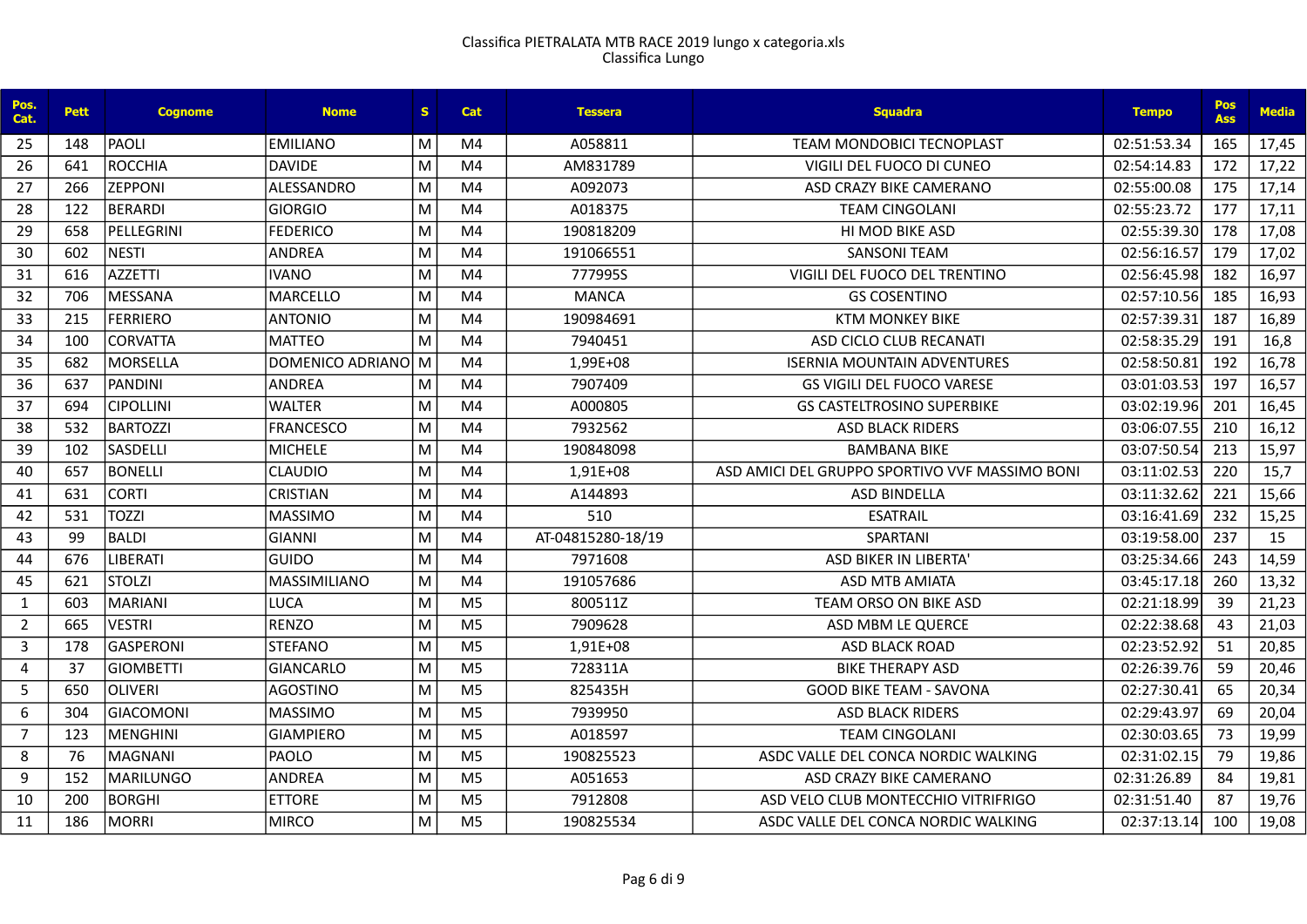| Pos.<br>Cat.   | <b>Pett</b> | <b>Cognome</b>   | <b>Nome</b>        | S. | <b>Cat</b>     | <b>Tessera</b>    | <b>Sauadra</b>                                 | <b>Tempo</b> | Pos<br><b>Ass</b> | <b>Media</b> |
|----------------|-------------|------------------|--------------------|----|----------------|-------------------|------------------------------------------------|--------------|-------------------|--------------|
| 25             | 148         | <b>PAOLI</b>     | <b>EMILIANO</b>    | M  | M4             | A058811           | <b>TEAM MONDOBICI TECNOPLAST</b>               | 02:51:53.34  | 165               | 17,45        |
| 26             | 641         | <b>ROCCHIA</b>   | <b>DAVIDE</b>      | M  | M4             | AM831789          | VIGILI DEL FUOCO DI CUNEO                      | 02:54:14.83  | 172               | 17,22        |
| 27             | 266         | <b>ZEPPONI</b>   | ALESSANDRO         | M  | M <sub>4</sub> | A092073           | ASD CRAZY BIKE CAMERANO                        | 02:55:00.08  | 175               | 17,14        |
| 28             | 122         | <b>BERARDI</b>   | <b>GIORGIO</b>     | M  | M4             | A018375           | <b>TEAM CINGOLANI</b>                          | 02:55:23.72  | 177               | 17,11        |
| 29             | 658         | PELLEGRINI       | <b>FEDERICO</b>    | M  | M <sub>4</sub> | 190818209         | <b>HI MOD BIKE ASD</b>                         | 02:55:39.30  | 178               | 17,08        |
| 30             | 602         | <b>NESTI</b>     | ANDREA             | M  | M4             | 191066551         | <b>SANSONI TEAM</b>                            | 02:56:16.57  | 179               | 17,02        |
| 31             | 616         | <b>AZZETTI</b>   | <b>IVANO</b>       | M  | M4             | 777995S           | VIGILI DEL FUOCO DEL TRENTINO                  | 02:56:45.98  | 182               | 16,97        |
| 32             | 706         | <b>MESSANA</b>   | <b>MARCELLO</b>    | M  | M <sub>4</sub> | <b>MANCA</b>      | <b>GS COSENTINO</b>                            | 02:57:10.56  | 185               | 16,93        |
| 33             | 215         | <b>FERRIERO</b>  | <b>ANTONIO</b>     | M  | M4             | 190984691         | <b>KTM MONKEY BIKE</b>                         | 02:57:39.31  | 187               | 16,89        |
| 34             | 100         | <b>CORVATTA</b>  | <b>MATTEO</b>      | M  | M <sub>4</sub> | 7940451           | ASD CICLO CLUB RECANATI                        | 02:58:35.29  | 191               | 16,8         |
| 35             | 682         | <b>MORSELLA</b>  | DOMENICO ADRIANO M |    | M <sub>4</sub> | 1,99E+08          | <b>ISERNIA MOUNTAIN ADVENTURES</b>             | 02:58:50.81  | 192               | 16,78        |
| 36             | 637         | <b>PANDINI</b>   | <b>ANDREA</b>      | M  | M <sub>4</sub> | 7907409           | <b>GS VIGILI DEL FUOCO VARESE</b>              | 03:01:03.53  | 197               | 16,57        |
| 37             | 694         | <b>CIPOLLINI</b> | <b>WALTER</b>      | M  | M <sub>4</sub> | A000805           | <b>GS CASTELTROSINO SUPERBIKE</b>              | 03:02:19.96  | 201               | 16,45        |
| 38             | 532         | <b>BARTOZZI</b>  | <b>FRANCESCO</b>   | M  | M4             | 7932562           | <b>ASD BLACK RIDERS</b>                        | 03:06:07.55  | 210               | 16,12        |
| 39             | 102         | <b>SASDELLI</b>  | <b>MICHELE</b>     | M  | M <sub>4</sub> | 190848098         | <b>BAMBANA BIKE</b>                            | 03:07:50.54  | 213               | 15,97        |
| 40             | 657         | <b>BONELLI</b>   | <b>CLAUDIO</b>     | M  | M <sub>4</sub> | 1,91E+08          | ASD AMICI DEL GRUPPO SPORTIVO VVF MASSIMO BONI | 03:11:02.53  | 220               | 15,7         |
| 41             | 631         | <b>CORTI</b>     | <b>CRISTIAN</b>    | M  | M4             | A144893           | <b>ASD BINDELLA</b>                            | 03:11:32.62  | 221               | 15,66        |
| 42             | 531         | <b>TOZZI</b>     | <b>MASSIMO</b>     | M  | M <sub>4</sub> | 510               | <b>ESATRAIL</b>                                | 03:16:41.69  | 232               | 15,25        |
| 43             | 99          | <b>BALDI</b>     | <b>GIANNI</b>      | M  | M <sub>4</sub> | AT-04815280-18/19 | SPARTANI                                       | 03:19:58.00  | 237               | 15           |
| 44             | 676         | <b>LIBERATI</b>  | <b>GUIDO</b>       | M  | M <sub>4</sub> | 7971608           | <b>ASD BIKER IN LIBERTA'</b>                   | 03:25:34.66  | 243               | 14,59        |
| 45             | 621         | <b>STOLZI</b>    | MASSIMILIANO       | M  | M <sub>4</sub> | 191057686         | <b>ASD MTB AMIATA</b>                          | 03:45:17.18  | 260               | 13,32        |
| 1              | 603         | <b>MARIANI</b>   | <b>LUCA</b>        | M  | M <sub>5</sub> | 800511Z           | TEAM ORSO ON BIKE ASD                          | 02:21:18.99  | 39                | 21,23        |
| $\overline{2}$ | 665         | <b>VESTRI</b>    | <b>RENZO</b>       | M  | M <sub>5</sub> | 7909628           | ASD MBM LE QUERCE                              | 02:22:38.68  | 43                | 21,03        |
| 3              | 178         | <b>GASPERONI</b> | <b>STEFANO</b>     | M  | M <sub>5</sub> | 1,91E+08          | <b>ASD BLACK ROAD</b>                          | 02:23:52.92  | 51                | 20,85        |
| $\overline{4}$ | 37          | <b>GIOMBETTI</b> | <b>GIANCARLO</b>   | M  | M <sub>5</sub> | 728311A           | <b>BIKE THERAPY ASD</b>                        | 02:26:39.76  | 59                | 20,46        |
| 5              | 650         | <b>OLIVERI</b>   | <b>AGOSTINO</b>    | M  | M <sub>5</sub> | 825435H           | <b>GOOD BIKE TEAM - SAVONA</b>                 | 02:27:30.41  | 65                | 20,34        |
| 6              | 304         | <b>GIACOMONI</b> | <b>MASSIMO</b>     | M  | M <sub>5</sub> | 7939950           | <b>ASD BLACK RIDERS</b>                        | 02:29:43.97  | 69                | 20,04        |
| $\overline{7}$ | 123         | <b>MENGHINI</b>  | <b>GIAMPIERO</b>   | M  | M <sub>5</sub> | A018597           | <b>TEAM CINGOLANI</b>                          | 02:30:03.65  | 73                | 19,99        |
| 8              | 76          | <b>MAGNANI</b>   | PAOLO              | M  | M <sub>5</sub> | 190825523         | ASDC VALLE DEL CONCA NORDIC WALKING            | 02:31:02.15  | 79                | 19,86        |
| 9              | 152         | <b>MARILUNGO</b> | <b>ANDREA</b>      | M  | M <sub>5</sub> | A051653           | ASD CRAZY BIKE CAMERANO                        | 02:31:26.89  | 84                | 19,81        |
| 10             | 200         | <b>BORGHI</b>    | <b>ETTORE</b>      | M  | M <sub>5</sub> | 7912808           | ASD VELO CLUB MONTECCHIO VITRIFRIGO            | 02:31:51.40  | 87                | 19,76        |
| 11             | 186         | <b>MORRI</b>     | <b>MIRCO</b>       | M  | M <sub>5</sub> | 190825534         | ASDC VALLE DEL CONCA NORDIC WALKING            | 02:37:13.14  | 100               | 19,08        |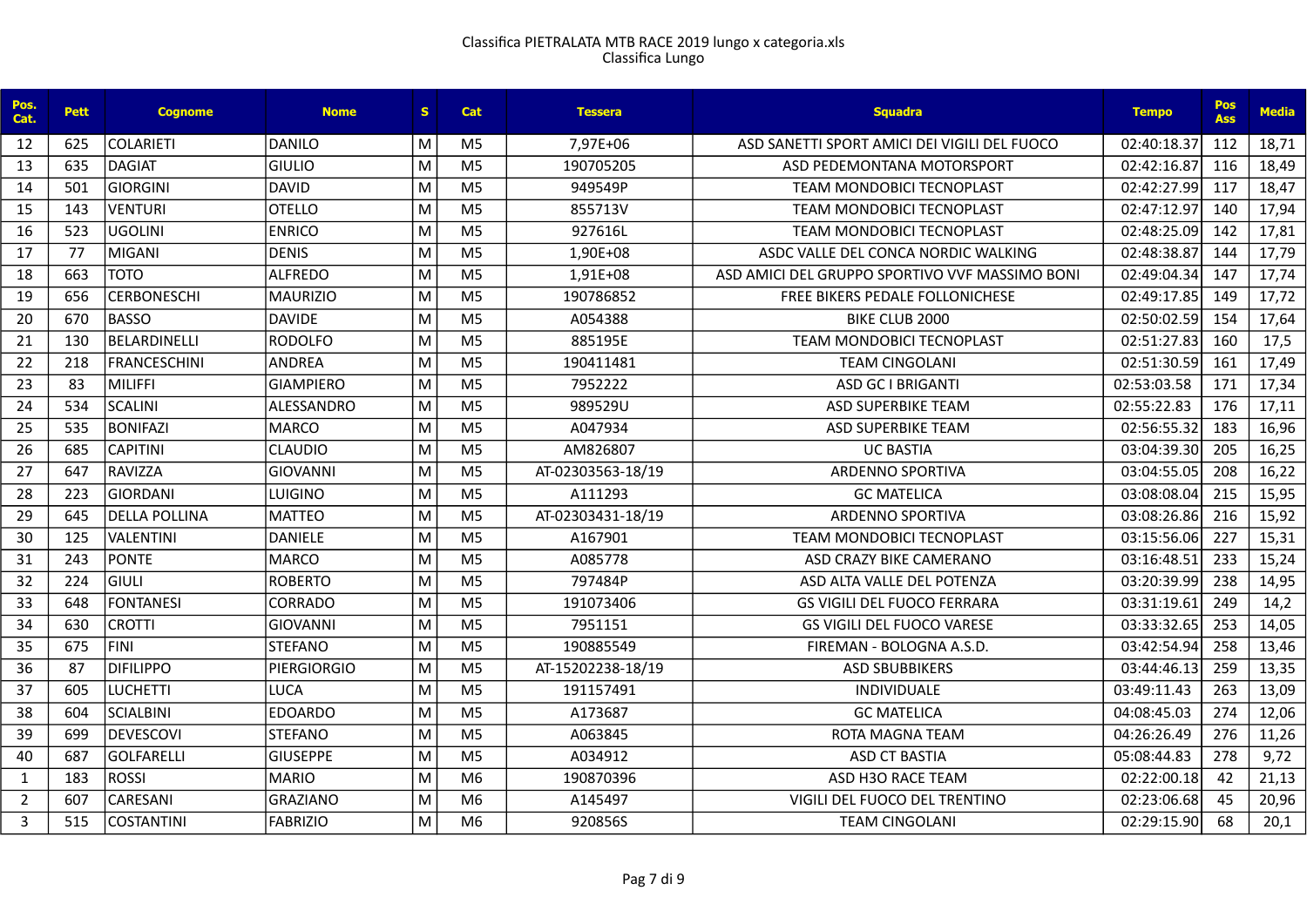| Pos.<br>Cat.   | <b>Pett</b> | <b>Cognome</b>       | <b>Nome</b>        | S. | Cat            | <b>Tessera</b>    | <b>Squadra</b>                                 | <b>Tempo</b> | <b>Pos</b><br><b>Ass</b> | <b>Media</b> |
|----------------|-------------|----------------------|--------------------|----|----------------|-------------------|------------------------------------------------|--------------|--------------------------|--------------|
| 12             | 625         | <b>COLARIETI</b>     | <b>DANILO</b>      | M  | M5             | 7,97E+06          | ASD SANETTI SPORT AMICI DEI VIGILI DEL FUOCO   | 02:40:18.37  | 112                      | 18,71        |
| 13             | 635         | <b>DAGIAT</b>        | <b>GIULIO</b>      | M  | M <sub>5</sub> | 190705205         | ASD PEDEMONTANA MOTORSPORT                     | 02:42:16.87  | 116                      | 18,49        |
| 14             | 501         | <b>GIORGINI</b>      | <b>DAVID</b>       | M  | M <sub>5</sub> | 949549P           | TEAM MONDOBICI TECNOPLAST                      | 02:42:27.99  | 117                      | 18,47        |
| 15             | 143         | <b>VENTURI</b>       | <b>OTELLO</b>      | M  | M <sub>5</sub> | 855713V           | <b>TEAM MONDOBICI TECNOPLAST</b>               | 02:47:12.97  | 140                      | 17,94        |
| 16             | 523         | <b>UGOLINI</b>       | <b>ENRICO</b>      | M  | M <sub>5</sub> | 927616L           | TEAM MONDOBICI TECNOPLAST                      | 02:48:25.09  | 142                      | 17,81        |
| 17             | 77          | <b>MIGANI</b>        | <b>DENIS</b>       | M  | M <sub>5</sub> | 1,90E+08          | ASDC VALLE DEL CONCA NORDIC WALKING            | 02:48:38.87  | 144                      | 17,79        |
| 18             | 663         | <b>TOTO</b>          | <b>ALFREDO</b>     | M  | M <sub>5</sub> | 1,91E+08          | ASD AMICI DEL GRUPPO SPORTIVO VVF MASSIMO BONI | 02:49:04.34  | 147                      | 17,74        |
| 19             | 656         | <b>CERBONESCHI</b>   | <b>MAURIZIO</b>    | M  | M <sub>5</sub> | 190786852         | FREE BIKERS PEDALE FOLLONICHESE                | 02:49:17.85  | 149                      | 17,72        |
| 20             | 670         | <b>BASSO</b>         | <b>DAVIDE</b>      | M  | M <sub>5</sub> | A054388           | BIKE CLUB 2000                                 | 02:50:02.59  | 154                      | 17,64        |
| 21             | 130         | BELARDINELLI         | <b>RODOLFO</b>     | M  | M <sub>5</sub> | 885195E           | TEAM MONDOBICI TECNOPLAST                      | 02:51:27.83  | 160                      | 17,5         |
| 22             | 218         | <b>FRANCESCHINI</b>  | <b>ANDREA</b>      | M  | M <sub>5</sub> | 190411481         | <b>TEAM CINGOLANI</b>                          | 02:51:30.59  | 161                      | 17,49        |
| 23             | 83          | <b>MILIFFI</b>       | <b>GIAMPIERO</b>   | M  | M <sub>5</sub> | 7952222           | <b>ASD GC I BRIGANTI</b>                       | 02:53:03.58  | 171                      | 17,34        |
| 24             | 534         | <b>SCALINI</b>       | ALESSANDRO         | M  | M <sub>5</sub> | 989529U           | <b>ASD SUPERBIKE TEAM</b>                      | 02:55:22.83  | 176                      | 17,11        |
| 25             | 535         | <b>BONIFAZI</b>      | <b>MARCO</b>       | M  | M <sub>5</sub> | A047934           | <b>ASD SUPERBIKE TEAM</b>                      | 02:56:55.32  | 183                      | 16,96        |
| 26             | 685         | <b>CAPITINI</b>      | <b>CLAUDIO</b>     | M  | M <sub>5</sub> | AM826807          | <b>UC BASTIA</b>                               | 03:04:39.30  | 205                      | 16,25        |
| 27             | 647         | <b>RAVIZZA</b>       | <b>GIOVANNI</b>    | M  | M <sub>5</sub> | AT-02303563-18/19 | <b>ARDENNO SPORTIVA</b>                        | 03:04:55.05  | 208                      | 16,22        |
| 28             | 223         | <b>GIORDANI</b>      | LUIGINO            | M  | M <sub>5</sub> | A111293           | <b>GC MATELICA</b>                             | 03:08:08.04  | 215                      | 15,95        |
| 29             | 645         | <b>DELLA POLLINA</b> | <b>MATTEO</b>      | M  | M <sub>5</sub> | AT-02303431-18/19 | <b>ARDENNO SPORTIVA</b>                        | 03:08:26.86  | 216                      | 15,92        |
| 30             | 125         | <b>VALENTINI</b>     | <b>DANIELE</b>     | M  | M <sub>5</sub> | A167901           | <b>TEAM MONDOBICI TECNOPLAST</b>               | 03:15:56.06  | 227                      | 15,31        |
| 31             | 243         | <b>PONTE</b>         | <b>MARCO</b>       | M  | M <sub>5</sub> | A085778           | ASD CRAZY BIKE CAMERANO                        | 03:16:48.51  | 233                      | 15,24        |
| 32             | 224         | <b>GIULI</b>         | <b>ROBERTO</b>     | M  | M <sub>5</sub> | 797484P           | ASD ALTA VALLE DEL POTENZA                     | 03:20:39.99  | 238                      | 14,95        |
| 33             | 648         | <b>FONTANESI</b>     | CORRADO            | M  | M <sub>5</sub> | 191073406         | <b>GS VIGILI DEL FUOCO FERRARA</b>             | 03:31:19.61  | 249                      | 14,2         |
| 34             | 630         | <b>CROTTI</b>        | <b>GIOVANNI</b>    | M  | M <sub>5</sub> | 7951151           | <b>GS VIGILI DEL FUOCO VARESE</b>              | 03:33:32.65  | 253                      | 14,05        |
| 35             | 675         | <b>FINI</b>          | <b>STEFANO</b>     | M  | M <sub>5</sub> | 190885549         | FIREMAN - BOLOGNA A.S.D.                       | 03:42:54.94  | 258                      | 13,46        |
| 36             | 87          | <b>DIFILIPPO</b>     | <b>PIERGIORGIO</b> | M  | M <sub>5</sub> | AT-15202238-18/19 | <b>ASD SBUBBIKERS</b>                          | 03:44:46.13  | 259                      | 13,35        |
| 37             | 605         | <b>LUCHETTI</b>      | <b>LUCA</b>        | M  | M <sub>5</sub> | 191157491         | INDIVIDUALE                                    | 03:49:11.43  | 263                      | 13,09        |
| 38             | 604         | <b>SCIALBINI</b>     | <b>EDOARDO</b>     | M  | M <sub>5</sub> | A173687           | <b>GC MATELICA</b>                             | 04:08:45.03  | 274                      | 12,06        |
| 39             | 699         | <b>DEVESCOVI</b>     | <b>STEFANO</b>     | M  | M <sub>5</sub> | A063845           | ROTA MAGNA TEAM                                | 04:26:26.49  | 276                      | 11,26        |
| 40             | 687         | <b>GOLFARELLI</b>    | <b>GIUSEPPE</b>    | M  | M <sub>5</sub> | A034912           | <b>ASD CT BASTIA</b>                           | 05:08:44.83  | 278                      | 9,72         |
| 1              | 183         | <b>ROSSI</b>         | <b>MARIO</b>       | M  | M <sub>6</sub> | 190870396         | ASD H3O RACE TEAM                              | 02:22:00.18  | 42                       | 21,13        |
| $\overline{2}$ | 607         | CARESANI             | <b>GRAZIANO</b>    | M  | M6             | A145497           | VIGILI DEL FUOCO DEL TRENTINO                  | 02:23:06.68  | 45                       | 20,96        |
| $\mathbf{3}$   | 515         | <b>COSTANTINI</b>    | <b>FABRIZIO</b>    | M  | M <sub>6</sub> | 920856S           | <b>TEAM CINGOLANI</b>                          | 02:29:15.90  | 68                       | 20,1         |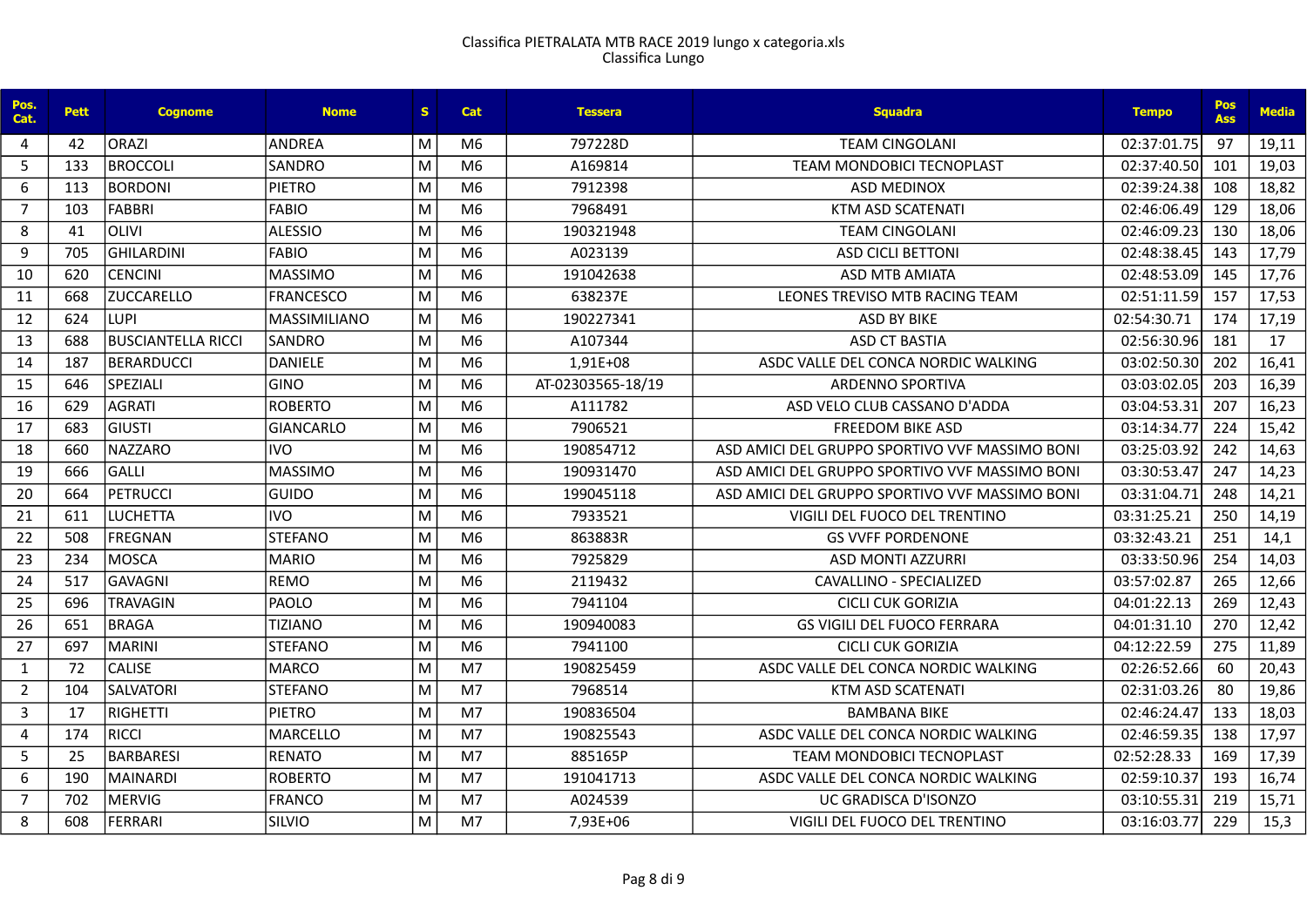| Pos.<br>Cat.   | <b>Pett</b> | <b>Cognome</b>            | <b>Nome</b>         | s. | Cat            | <b>Tessera</b>    | <b>Squadra</b>                                 | <b>Tempo</b> | Pos<br><b>Ass</b> | <b>Media</b> |
|----------------|-------------|---------------------------|---------------------|----|----------------|-------------------|------------------------------------------------|--------------|-------------------|--------------|
| 4              | 42          | <b>ORAZI</b>              | ANDREA              | M  | M6             | 797228D           | <b>TEAM CINGOLANI</b>                          | 02:37:01.75  | 97                | 19,11        |
| 5              | 133         | <b>BROCCOLI</b>           | SANDRO              | M  | M <sub>6</sub> | A169814           | <b>TEAM MONDOBICI TECNOPLAST</b>               | 02:37:40.50  | 101               | 19,03        |
| 6              | 113         | <b>BORDONI</b>            | <b>PIETRO</b>       | M  | M <sub>6</sub> | 7912398           | <b>ASD MEDINOX</b>                             | 02:39:24.38  | 108               | 18,82        |
| $\overline{7}$ | 103         | <b>FABBRI</b>             | <b>FABIO</b>        | M  | M <sub>6</sub> | 7968491           | KTM ASD SCATENATI                              | 02:46:06.49  | 129               | 18,06        |
| 8              | 41          | <b>OLIVI</b>              | <b>ALESSIO</b>      | M  | M <sub>6</sub> | 190321948         | <b>TEAM CINGOLANI</b>                          | 02:46:09.23  | 130               | 18,06        |
| 9              | 705         | <b>GHILARDINI</b>         | <b>FABIO</b>        | M  | M6             | A023139           | <b>ASD CICLI BETTONI</b>                       | 02:48:38.45  | 143               | 17,79        |
| 10             | 620         | <b>CENCINI</b>            | <b>MASSIMO</b>      | M  | M <sub>6</sub> | 191042638         | <b>ASD MTB AMIATA</b>                          | 02:48:53.09  | 145               | 17,76        |
| 11             | 668         | <b>ZUCCARELLO</b>         | <b>FRANCESCO</b>    | M  | M <sub>6</sub> | 638237E           | LEONES TREVISO MTB RACING TEAM                 | 02:51:11.59  | 157               | 17,53        |
| 12             | 624         | <b>LUPI</b>               | <b>MASSIMILIANO</b> | M  | M <sub>6</sub> | 190227341         | <b>ASD BY BIKE</b>                             | 02:54:30.71  | 174               | 17,19        |
| 13             | 688         | <b>BUSCIANTELLA RICCI</b> | ISANDRO             | M  | M <sub>6</sub> | A107344           | <b>ASD CT BASTIA</b>                           | 02:56:30.96  | 181               | 17           |
| 14             | 187         | <b>BERARDUCCI</b>         | <b>DANIELE</b>      | M  | M6             | 1,91E+08          | ASDC VALLE DEL CONCA NORDIC WALKING            | 03:02:50.30  | 202               | 16,41        |
| 15             | 646         | SPEZIALI                  | <b>GINO</b>         | M  | M <sub>6</sub> | AT-02303565-18/19 | <b>ARDENNO SPORTIVA</b>                        | 03:03:02.05  | 203               | 16,39        |
| 16             | 629         | <b>AGRATI</b>             | <b>ROBERTO</b>      | M  | M6             | A111782           | ASD VELO CLUB CASSANO D'ADDA                   | 03:04:53.31  | 207               | 16,23        |
| 17             | 683         | <b>GIUSTI</b>             | <b>GIANCARLO</b>    | M  | M <sub>6</sub> | 7906521           | <b>FREEDOM BIKE ASD</b>                        | 03:14:34.77  | 224               | 15,42        |
| 18             | 660         | <b>NAZZARO</b>            | <b>IVO</b>          | M  | M <sub>6</sub> | 190854712         | ASD AMICLDEL GRUPPO SPORTIVO VVF MASSIMO BONI  | 03:25:03.92  | 242               | 14,63        |
| 19             | 666         | <b>GALLI</b>              | <b>MASSIMO</b>      | M  | M6             | 190931470         | ASD AMICI DEL GRUPPO SPORTIVO VVF MASSIMO BONI | 03:30:53.47  | 247               | 14,23        |
| 20             | 664         | <b>PETRUCCI</b>           | <b>GUIDO</b>        | M  | M <sub>6</sub> | 199045118         | ASD AMICLDEL GRUPPO SPORTIVO VVF MASSIMO BONI  | 03:31:04.71  | 248               | 14,21        |
| 21             | 611         | <b>LUCHETTA</b>           | <b>IVO</b>          | M  | M6             | 7933521           | VIGILI DEL FUOCO DEL TRENTINO                  | 03:31:25.21  | 250               | 14,19        |
| 22             | 508         | <b>FREGNAN</b>            | <b>STEFANO</b>      | M  | M <sub>6</sub> | 863883R           | <b>GS VVFF PORDENONE</b>                       | 03:32:43.21  | 251               | 14,1         |
| 23             | 234         | <b>MOSCA</b>              | <b>MARIO</b>        | M  | M <sub>6</sub> | 7925829           | <b>ASD MONTI AZZURRI</b>                       | 03:33:50.96  | 254               | 14,03        |
| 24             | 517         | <b>GAVAGNI</b>            | <b>REMO</b>         | M  | M <sub>6</sub> | 2119432           | CAVALLINO - SPECIALIZED                        | 03:57:02.87  | 265               | 12,66        |
| 25             | 696         | <b>TRAVAGIN</b>           | PAOLO               | M  | M <sub>6</sub> | 7941104           | <b>CICLI CUK GORIZIA</b>                       | 04:01:22.13  | 269               | 12,43        |
| 26             | 651         | <b>BRAGA</b>              | <b>TIZIANO</b>      | M  | M <sub>6</sub> | 190940083         | <b>GS VIGILI DEL FUOCO FERRARA</b>             | 04:01:31.10  | 270               | 12,42        |
| 27             | 697         | <b>MARINI</b>             | <b>STEFANO</b>      | M  | M <sub>6</sub> | 7941100           | <b>CICLI CUK GORIZIA</b>                       | 04:12:22.59  | 275               | 11,89        |
| $\mathbf{1}$   | 72          | <b>CALISE</b>             | <b>MARCO</b>        | M  | M <sub>7</sub> | 190825459         | ASDC VALLE DEL CONCA NORDIC WALKING            | 02:26:52.66  | 60                | 20,43        |
| $\overline{2}$ | 104         | <b>SALVATORI</b>          | <b>STEFANO</b>      | M  | M <sub>7</sub> | 7968514           | KTM ASD SCATENATI                              | 02:31:03.26  | 80                | 19,86        |
| $\overline{3}$ | 17          | <b>RIGHETTI</b>           | <b>PIETRO</b>       | M  | M7             | 190836504         | <b>BAMBANA BIKE</b>                            | 02:46:24.47  | 133               | 18,03        |
| $\overline{4}$ | 174         | <b>RICCI</b>              | <b>MARCELLO</b>     | M  | M7             | 190825543         | ASDC VALLE DEL CONCA NORDIC WALKING            | 02:46:59.35  | 138               | 17,97        |
| 5              | 25          | <b>BARBARESI</b>          | <b>RENATO</b>       | M  | M7             | 885165P           | <b>TEAM MONDOBICI TECNOPLAST</b>               | 02:52:28.33  | 169               | 17,39        |
| 6              | 190         | <b>MAINARDI</b>           | <b>ROBERTO</b>      | M  | M <sub>7</sub> | 191041713         | ASDC VALLE DEL CONCA NORDIC WALKING            | 02:59:10.37  | 193               | 16,74        |
| $\overline{7}$ | 702         | <b>MERVIG</b>             | <b>FRANCO</b>       | M  | M7             | A024539           | UC GRADISCA D'ISONZO                           | 03:10:55.31  | 219               | 15,71        |
| 8              | 608         | <b>FERRARI</b>            | SILVIO              | M  | M <sub>7</sub> | 7,93E+06          | VIGILI DEL FUOCO DEL TRENTINO                  | 03:16:03.77  | 229               | 15,3         |